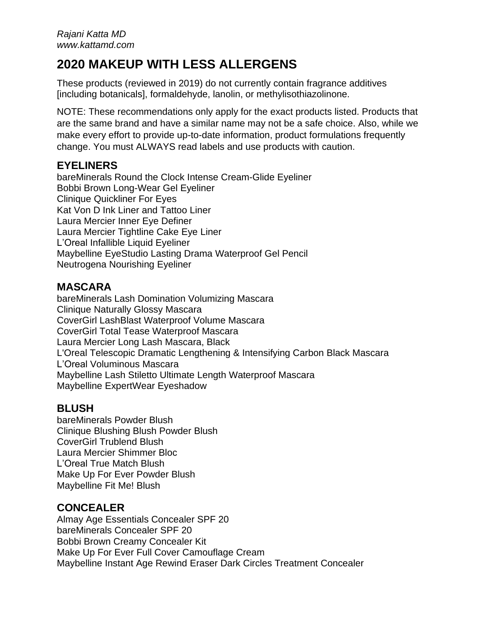# **2020 MAKEUP WITH LESS ALLERGENS**

These products (reviewed in 2019) do not currently contain fragrance additives [including botanicals], formaldehyde, lanolin, or methylisothiazolinone.

NOTE: These recommendations only apply for the exact products listed. Products that are the same brand and have a similar name may not be a safe choice. Also, while we make every effort to provide up-to-date information, product formulations frequently change. You must ALWAYS read labels and use products with caution.

# **EYELINERS**

bareMinerals Round the Clock Intense Cream-Glide Eyeliner Bobbi Brown Long-Wear Gel Eyeliner Clinique Quickliner For Eyes Kat Von D Ink Liner and Tattoo Liner Laura Mercier Inner Eye Definer Laura Mercier Tightline Cake Eye Liner L'Oreal Infallible Liquid Eyeliner Maybelline EyeStudio Lasting Drama Waterproof Gel Pencil Neutrogena Nourishing Eyeliner

# **MASCARA**

bareMinerals Lash Domination Volumizing Mascara Clinique Naturally Glossy Mascara CoverGirl LashBlast Waterproof Volume Mascara CoverGirl Total Tease Waterproof Mascara Laura Mercier Long Lash Mascara, Black L'Oreal Telescopic Dramatic Lengthening & Intensifying Carbon Black Mascara L'Oreal Voluminous Mascara Maybelline Lash Stiletto Ultimate Length Waterproof Mascara Maybelline ExpertWear Eyeshadow

# **BLUSH**

bareMinerals Powder Blush Clinique Blushing Blush Powder Blush CoverGirl Trublend Blush Laura Mercier Shimmer Bloc L'Oreal True Match Blush Make Up For Ever Powder Blush Maybelline Fit Me! Blush

# **CONCEALER**

Almay Age Essentials Concealer SPF 20 bareMinerals Concealer SPF 20 Bobbi Brown Creamy Concealer Kit Make Up For Ever Full Cover Camouflage Cream Maybelline Instant Age Rewind Eraser Dark Circles Treatment Concealer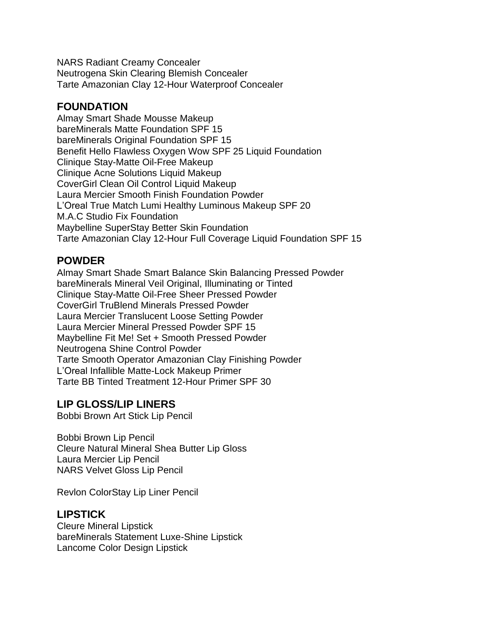NARS Radiant Creamy Concealer Neutrogena Skin Clearing Blemish Concealer Tarte Amazonian Clay 12-Hour Waterproof Concealer

## **FOUNDATION**

Almay Smart Shade Mousse Makeup bareMinerals Matte Foundation SPF 15 bareMinerals Original Foundation SPF 15 Benefit Hello Flawless Oxygen Wow SPF 25 Liquid Foundation Clinique Stay-Matte Oil-Free Makeup Clinique Acne Solutions Liquid Makeup CoverGirl Clean Oil Control Liquid Makeup Laura Mercier Smooth Finish Foundation Powder L'Oreal True Match Lumi Healthy Luminous Makeup SPF 20 M.A.C Studio Fix Foundation Maybelline SuperStay Better Skin Foundation Tarte Amazonian Clay 12-Hour Full Coverage Liquid Foundation SPF 15

### **POWDER**

Almay Smart Shade Smart Balance Skin Balancing Pressed Powder bareMinerals Mineral Veil Original, Illuminating or Tinted Clinique Stay-Matte Oil-Free Sheer Pressed Powder CoverGirl TruBlend Minerals Pressed Powder Laura Mercier Translucent Loose Setting Powder Laura Mercier Mineral Pressed Powder SPF 15 Maybelline Fit Me! Set + Smooth Pressed Powder Neutrogena Shine Control Powder Tarte Smooth Operator Amazonian Clay Finishing Powder L'Oreal Infallible Matte-Lock Makeup Primer Tarte BB Tinted Treatment 12-Hour Primer SPF 30

### **LIP GLOSS/LIP LINERS**

Bobbi Brown Art Stick Lip Pencil

Bobbi Brown Lip Pencil Cleure Natural Mineral Shea Butter Lip Gloss Laura Mercier Lip Pencil NARS Velvet Gloss Lip Pencil

Revlon ColorStay Lip Liner Pencil

### **LIPSTICK**

Cleure Mineral Lipstick bareMinerals Statement Luxe-Shine Lipstick Lancome Color Design Lipstick